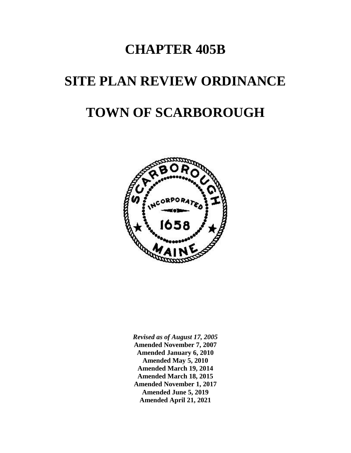# **CHAPTER 405B**

# **SITE PLAN REVIEW ORDINANCE TOWN OF SCARBOROUGH**



*Revised as of August 17, 2005* **Amended November 7, 2007 Amended January 6, 2010 Amended May 5, 2010 Amended March 19, 2014 Amended March 18, 2015 Amended November 1, 2017 Amended June 5, 2019 Amended April 21, 2021**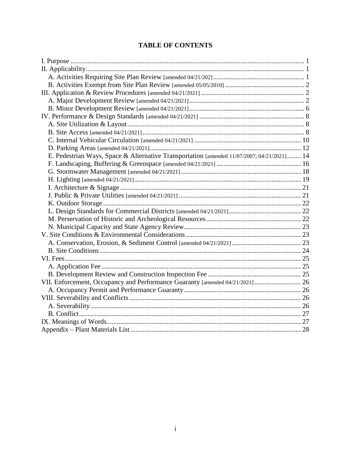# **TABLE OF CONTENTS**

| E. Pedestrian Ways, Space & Alternative Transportation [amended 11/07/2007; 04/21/2021] 14 |  |
|--------------------------------------------------------------------------------------------|--|
|                                                                                            |  |
|                                                                                            |  |
|                                                                                            |  |
|                                                                                            |  |
|                                                                                            |  |
|                                                                                            |  |
|                                                                                            |  |
|                                                                                            |  |
|                                                                                            |  |
|                                                                                            |  |
|                                                                                            |  |
|                                                                                            |  |
|                                                                                            |  |
|                                                                                            |  |
|                                                                                            |  |
| VII. Enforcement, Occupancy and Performance Guaranty [amended 04/21/2021]  26              |  |
|                                                                                            |  |
|                                                                                            |  |
|                                                                                            |  |
|                                                                                            |  |
|                                                                                            |  |
|                                                                                            |  |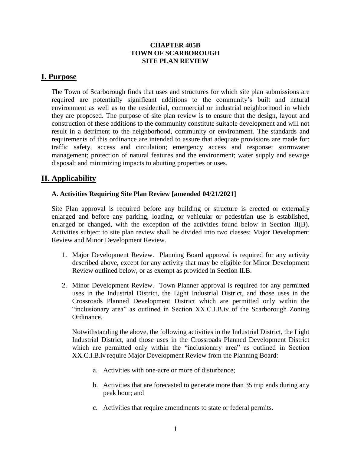#### **CHAPTER 405B TOWN OF SCARBOROUGH SITE PLAN REVIEW**

# <span id="page-2-0"></span>**I. Purpose**

The Town of Scarborough finds that uses and structures for which site plan submissions are required are potentially significant additions to the community's built and natural environment as well as to the residential, commercial or industrial neighborhood in which they are proposed. The purpose of site plan review is to ensure that the design, layout and construction of these additions to the community constitute suitable development and will not result in a detriment to the neighborhood, community or environment. The standards and requirements of this ordinance are intended to assure that adequate provisions are made for: traffic safety, access and circulation; emergency access and response; stormwater management; protection of natural features and the environment; water supply and sewage disposal; and minimizing impacts to abutting properties or uses.

# <span id="page-2-1"></span>**II. Applicability**

#### <span id="page-2-2"></span>**A. Activities Requiring Site Plan Review [amended 04/21/2021]**

Site Plan approval is required before any building or structure is erected or externally enlarged and before any parking, loading, or vehicular or pedestrian use is established, enlarged or changed, with the exception of the activities found below in Section II(B). Activities subject to site plan review shall be divided into two classes: Major Development Review and Minor Development Review.

- 1. Major Development Review. Planning Board approval is required for any activity described above, except for any activity that may be eligible for Minor Development Review outlined below, or as exempt as provided in Section II.B.
- 2. Minor Development Review. Town Planner approval is required for any permitted uses in the Industrial District, the Light Industrial District, and those uses in the Crossroads Planned Development District which are permitted only within the "inclusionary area" as outlined in Section XX.C.I.B.iv of the Scarborough Zoning Ordinance.

Notwithstanding the above, the following activities in the Industrial District, the Light Industrial District, and those uses in the Crossroads Planned Development District which are permitted only within the "inclusionary area" as outlined in Section XX.C.I.B.iv require Major Development Review from the Planning Board:

- a. Activities with one-acre or more of disturbance;
- b. Activities that are forecasted to generate more than 35 trip ends during any peak hour; and
- c. Activities that require amendments to state or federal permits.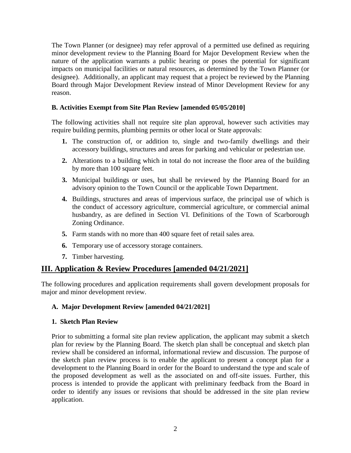The Town Planner (or designee) may refer approval of a permitted use defined as requiring minor development review to the Planning Board for Major Development Review when the nature of the application warrants a public hearing or poses the potential for significant impacts on municipal facilities or natural resources, as determined by the Town Planner (or designee). Additionally, an applicant may request that a project be reviewed by the Planning Board through Major Development Review instead of Minor Development Review for any reason.

#### <span id="page-3-0"></span>**B. Activities Exempt from Site Plan Review [amended 05/05/2010]**

The following activities shall not require site plan approval, however such activities may require building permits, plumbing permits or other local or State approvals:

- **1.** The construction of, or addition to, single and two-family dwellings and their accessory buildings, structures and areas for parking and vehicular or pedestrian use.
- **2.** Alterations to a building which in total do not increase the floor area of the building by more than 100 square feet.
- **3.** Municipal buildings or uses, but shall be reviewed by the Planning Board for an advisory opinion to the Town Council or the applicable Town Department.
- **4.** Buildings, structures and areas of impervious surface, the principal use of which is the conduct of accessory agriculture, commercial agriculture, or commercial animal husbandry, as are defined in Section VI. Definitions of the Town of Scarborough Zoning Ordinance.
- **5.** Farm stands with no more than 400 square feet of retail sales area.
- **6.** Temporary use of accessory storage containers.
- **7.** Timber harvesting.

#### <span id="page-3-1"></span>**III. Application & Review Procedures [amended 04/21/2021]**

The following procedures and application requirements shall govern development proposals for major and minor development review.

#### <span id="page-3-2"></span>**A. Major Development Review [amended 04/21/2021]**

#### **1. Sketch Plan Review**

Prior to submitting a formal site plan review application, the applicant may submit a sketch plan for review by the Planning Board. The sketch plan shall be conceptual and sketch plan review shall be considered an informal, informational review and discussion. The purpose of the sketch plan review process is to enable the applicant to present a concept plan for a development to the Planning Board in order for the Board to understand the type and scale of the proposed development as well as the associated on and off-site issues. Further, this process is intended to provide the applicant with preliminary feedback from the Board in order to identify any issues or revisions that should be addressed in the site plan review application.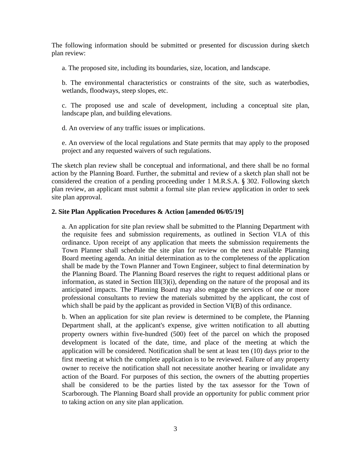The following information should be submitted or presented for discussion during sketch plan review:

a. The proposed site, including its boundaries, size, location, and landscape.

b. The environmental characteristics or constraints of the site, such as waterbodies, wetlands, floodways, steep slopes, etc.

c. The proposed use and scale of development, including a conceptual site plan, landscape plan, and building elevations.

d. An overview of any traffic issues or implications.

e. An overview of the local regulations and State permits that may apply to the proposed project and any requested waivers of such regulations.

The sketch plan review shall be conceptual and informational, and there shall be no formal action by the Planning Board. Further, the submittal and review of a sketch plan shall not be considered the creation of a pending proceeding under 1 M.R.S.A. § 302. Following sketch plan review, an applicant must submit a formal site plan review application in order to seek site plan approval.

#### <span id="page-4-0"></span>**2. Site Plan Application Procedures & Action [amended 06/05/19]**

a. An application for site plan review shall be submitted to the Planning Department with the requisite fees and submission requirements, as outlined in Section VI.A of this ordinance. Upon receipt of any application that meets the submission requirements the Town Planner shall schedule the site plan for review on the next available Planning Board meeting agenda. An initial determination as to the completeness of the application shall be made by the Town Planner and Town Engineer, subject to final determination by the Planning Board. The Planning Board reserves the right to request additional plans or information, as stated in Section  $III(3)(i)$ , depending on the nature of the proposal and its anticipated impacts. The Planning Board may also engage the services of one or more professional consultants to review the materials submitted by the applicant, the cost of which shall be paid by the applicant as provided in Section VI(B) of this ordinance.

b. When an application for site plan review is determined to be complete, the Planning Department shall, at the applicant's expense, give written notification to all abutting property owners within five-hundred (500) feet of the parcel on which the proposed development is located of the date, time, and place of the meeting at which the application will be considered. Notification shall be sent at least ten (10) days prior to the first meeting at which the complete application is to be reviewed. Failure of any property owner to receive the notification shall not necessitate another hearing or invalidate any action of the Board. For purposes of this section, the owners of the abutting properties shall be considered to be the parties listed by the tax assessor for the Town of Scarborough. The Planning Board shall provide an opportunity for public comment prior to taking action on any site plan application.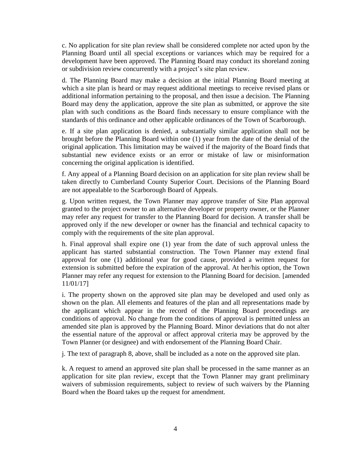c. No application for site plan review shall be considered complete nor acted upon by the Planning Board until all special exceptions or variances which may be required for a development have been approved. The Planning Board may conduct its shoreland zoning or subdivision review concurrently with a project's site plan review.

d. The Planning Board may make a decision at the initial Planning Board meeting at which a site plan is heard or may request additional meetings to receive revised plans or additional information pertaining to the proposal, and then issue a decision. The Planning Board may deny the application, approve the site plan as submitted, or approve the site plan with such conditions as the Board finds necessary to ensure compliance with the standards of this ordinance and other applicable ordinances of the Town of Scarborough.

e. If a site plan application is denied, a substantially similar application shall not be brought before the Planning Board within one (1) year from the date of the denial of the original application. This limitation may be waived if the majority of the Board finds that substantial new evidence exists or an error or mistake of law or misinformation concerning the original application is identified.

f. Any appeal of a Planning Board decision on an application for site plan review shall be taken directly to Cumberland County Superior Court. Decisions of the Planning Board are not appealable to the Scarborough Board of Appeals.

g. Upon written request, the Town Planner may approve transfer of Site Plan approval granted to the project owner to an alternative developer or property owner, or the Planner may refer any request for transfer to the Planning Board for decision. A transfer shall be approved only if the new developer or owner has the financial and technical capacity to comply with the requirements of the site plan approval.

h. Final approval shall expire one (1) year from the date of such approval unless the applicant has started substantial construction. The Town Planner may extend final approval for one (1) additional year for good cause, provided a written request for extension is submitted before the expiration of the approval. At her/his option, the Town Planner may refer any request for extension to the Planning Board for decision. [amended 11/01/17]

i. The property shown on the approved site plan may be developed and used only as shown on the plan. All elements and features of the plan and all representations made by the applicant which appear in the record of the Planning Board proceedings are conditions of approval. No change from the conditions of approval is permitted unless an amended site plan is approved by the Planning Board. Minor deviations that do not alter the essential nature of the approval or affect approval criteria may be approved by the Town Planner (or designee) and with endorsement of the Planning Board Chair.

j. The text of paragraph 8, above, shall be included as a note on the approved site plan.

k. A request to amend an approved site plan shall be processed in the same manner as an application for site plan review, except that the Town Planner may grant preliminary waivers of submission requirements, subject to review of such waivers by the Planning Board when the Board takes up the request for amendment.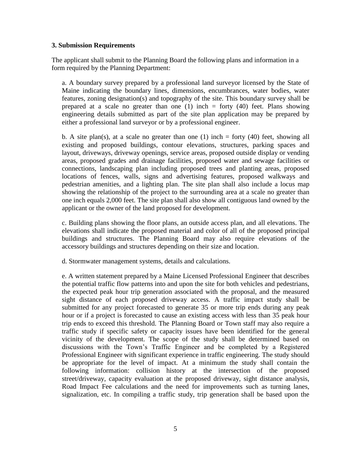#### **3. Submission Requirements**

The applicant shall submit to the Planning Board the following plans and information in a form required by the Planning Department:

a. A boundary survey prepared by a professional land surveyor licensed by the State of Maine indicating the boundary lines, dimensions, encumbrances, water bodies, water features, zoning designation(s) and topography of the site. This boundary survey shall be prepared at a scale no greater than one (1) inch = forty (40) feet. Plans showing engineering details submitted as part of the site plan application may be prepared by either a professional land surveyor or by a professional engineer.

b. A site plan(s), at a scale no greater than one  $(1)$  inch = forty  $(40)$  feet, showing all existing and proposed buildings, contour elevations, structures, parking spaces and layout, driveways, driveway openings, service areas, proposed outside display or vending areas, proposed grades and drainage facilities, proposed water and sewage facilities or connections, landscaping plan including proposed trees and planting areas, proposed locations of fences, walls, signs and advertising features, proposed walkways and pedestrian amenities, and a lighting plan. The site plan shall also include a locus map showing the relationship of the project to the surrounding area at a scale no greater than one inch equals 2,000 feet. The site plan shall also show all contiguous land owned by the applicant or the owner of the land proposed for development.

c. Building plans showing the floor plans, an outside access plan, and all elevations. The elevations shall indicate the proposed material and color of all of the proposed principal buildings and structures. The Planning Board may also require elevations of the accessory buildings and structures depending on their size and location.

d. Stormwater management systems, details and calculations.

e. A written statement prepared by a Maine Licensed Professional Engineer that describes the potential traffic flow patterns into and upon the site for both vehicles and pedestrians, the expected peak hour trip generation associated with the proposal, and the measured sight distance of each proposed driveway access. A traffic impact study shall be submitted for any project forecasted to generate 35 or more trip ends during any peak hour or if a project is forecasted to cause an existing access with less than 35 peak hour trip ends to exceed this threshold. The Planning Board or Town staff may also require a traffic study if specific safety or capacity issues have been identified for the general vicinity of the development. The scope of the study shall be determined based on discussions with the Town's Traffic Engineer and be completed by a Registered Professional Engineer with significant experience in traffic engineering. The study should be appropriate for the level of impact. At a minimum the study shall contain the following information: collision history at the intersection of the proposed street/driveway, capacity evaluation at the proposed driveway, sight distance analysis, Road Impact Fee calculations and the need for improvements such as turning lanes, signalization, etc. In compiling a traffic study, trip generation shall be based upon the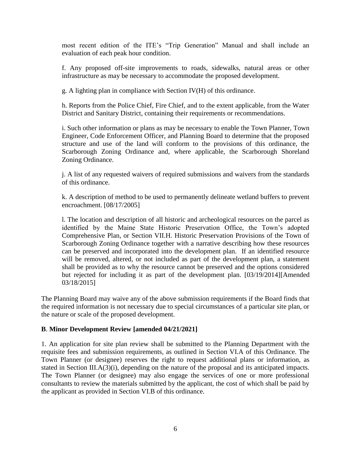most recent edition of the ITE's "Trip Generation" Manual and shall include an evaluation of each peak hour condition.

f. Any proposed off-site improvements to roads, sidewalks, natural areas or other infrastructure as may be necessary to accommodate the proposed development.

g. A lighting plan in compliance with Section IV(H) of this ordinance.

h. Reports from the Police Chief, Fire Chief, and to the extent applicable, from the Water District and Sanitary District, containing their requirements or recommendations.

i. Such other information or plans as may be necessary to enable the Town Planner, Town Engineer, Code Enforcement Officer, and Planning Board to determine that the proposed structure and use of the land will conform to the provisions of this ordinance, the Scarborough Zoning Ordinance and, where applicable, the Scarborough Shoreland Zoning Ordinance.

j. A list of any requested waivers of required submissions and waivers from the standards of this ordinance.

k. A description of method to be used to permanently delineate wetland buffers to prevent encroachment. [08/17/2005]

l. The location and description of all historic and archeological resources on the parcel as identified by the Maine State Historic Preservation Office, the Town's adopted Comprehensive Plan, or Section VII.H. Historic Preservation Provisions of the Town of Scarborough Zoning Ordinance together with a narrative describing how these resources can be preserved and incorporated into the development plan. If an identified resource will be removed, altered, or not included as part of the development plan, a statement shall be provided as to why the resource cannot be preserved and the options considered but rejected for including it as part of the development plan. [03/19/2014][Amended 03/18/2015]

The Planning Board may waive any of the above submission requirements if the Board finds that the required information is not necessary due to special circumstances of a particular site plan, or the nature or scale of the proposed development.

#### **B**. **Minor Development Review [amended 04/21/2021]**

1. An application for site plan review shall be submitted to the Planning Department with the requisite fees and submission requirements, as outlined in Section VI.A of this Ordinance. The Town Planner (or designee) reserves the right to request additional plans or information, as stated in Section III.A(3)(i), depending on the nature of the proposal and its anticipated impacts. The Town Planner (or designee) may also engage the services of one or more professional consultants to review the materials submitted by the applicant, the cost of which shall be paid by the applicant as provided in Section VI.B of this ordinance.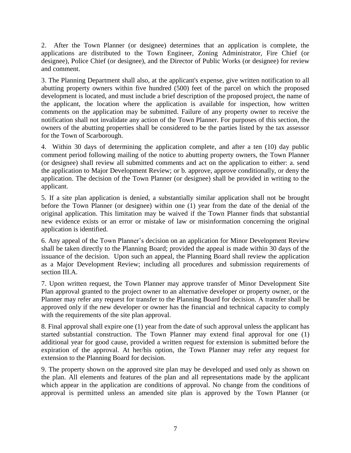2. After the Town Planner (or designee) determines that an application is complete, the applications are distributed to the Town Engineer, Zoning Administrator, Fire Chief (or designee), Police Chief (or designee), and the Director of Public Works (or designee) for review and comment.

3. The Planning Department shall also, at the applicant's expense, give written notification to all abutting property owners within five hundred (500) feet of the parcel on which the proposed development is located, and must include a brief description of the proposed project, the name of the applicant, the location where the application is available for inspection, how written comments on the application may be submitted. Failure of any property owner to receive the notification shall not invalidate any action of the Town Planner. For purposes of this section, the owners of the abutting properties shall be considered to be the parties listed by the tax assessor for the Town of Scarborough.

4. Within 30 days of determining the application complete, and after a ten (10) day public comment period following mailing of the notice to abutting property owners, the Town Planner (or designee) shall review all submitted comments and act on the application to either: a. send the application to Major Development Review; or b. approve, approve conditionally, or deny the application. The decision of the Town Planner (or designee) shall be provided in writing to the applicant.

5. If a site plan application is denied, a substantially similar application shall not be brought before the Town Planner (or designee) within one (1) year from the date of the denial of the original application. This limitation may be waived if the Town Planner finds that substantial new evidence exists or an error or mistake of law or misinformation concerning the original application is identified.

6. Any appeal of the Town Planner's decision on an application for Minor Development Review shall be taken directly to the Planning Board; provided the appeal is made within 30 days of the issuance of the decision. Upon such an appeal, the Planning Board shall review the application as a Major Development Review; including all procedures and submission requirements of section III.A.

7. Upon written request, the Town Planner may approve transfer of Minor Development Site Plan approval granted to the project owner to an alternative developer or property owner, or the Planner may refer any request for transfer to the Planning Board for decision. A transfer shall be approved only if the new developer or owner has the financial and technical capacity to comply with the requirements of the site plan approval.

8. Final approval shall expire one (1) year from the date of such approval unless the applicant has started substantial construction. The Town Planner may extend final approval for one (1) additional year for good cause, provided a written request for extension is submitted before the expiration of the approval. At her/his option, the Town Planner may refer any request for extension to the Planning Board for decision.

9. The property shown on the approved site plan may be developed and used only as shown on the plan. All elements and features of the plan and all representations made by the applicant which appear in the application are conditions of approval. No change from the conditions of approval is permitted unless an amended site plan is approved by the Town Planner (or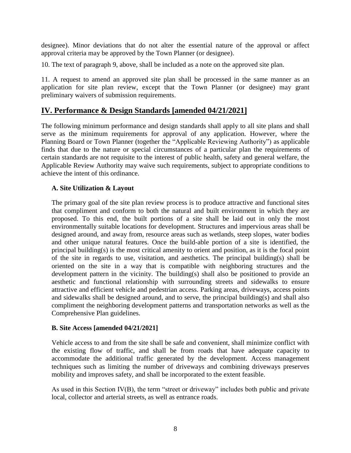designee). Minor deviations that do not alter the essential nature of the approval or affect approval criteria may be approved by the Town Planner (or designee).

10. The text of paragraph 9, above, shall be included as a note on the approved site plan.

11. A request to amend an approved site plan shall be processed in the same manner as an application for site plan review, except that the Town Planner (or designee) may grant preliminary waivers of submission requirements.

# <span id="page-9-0"></span>**IV. Performance & Design Standards [amended 04/21/2021]**

The following minimum performance and design standards shall apply to all site plans and shall serve as the minimum requirements for approval of any application. However, where the Planning Board or Town Planner (together the "Applicable Reviewing Authority") as applicable finds that due to the nature or special circumstances of a particular plan the requirements of certain standards are not requisite to the interest of public health, safety and general welfare, the Applicable Review Authority may waive such requirements, subject to appropriate conditions to achieve the intent of this ordinance.

#### <span id="page-9-1"></span>**A. Site Utilization & Layout**

The primary goal of the site plan review process is to produce attractive and functional sites that compliment and conform to both the natural and built environment in which they are proposed. To this end, the built portions of a site shall be laid out in only the most environmentally suitable locations for development. Structures and impervious areas shall be designed around, and away from, resource areas such as wetlands, steep slopes, water bodies and other unique natural features. Once the build-able portion of a site is identified, the principal building(s) is the most critical amenity to orient and position, as it is the focal point of the site in regards to use, visitation, and aesthetics. The principal building(s) shall be oriented on the site in a way that is compatible with neighboring structures and the development pattern in the vicinity. The building(s) shall also be positioned to provide an aesthetic and functional relationship with surrounding streets and sidewalks to ensure attractive and efficient vehicle and pedestrian access. Parking areas, driveways, access points and sidewalks shall be designed around, and to serve, the principal building(s) and shall also compliment the neighboring development patterns and transportation networks as well as the Comprehensive Plan guidelines.

#### <span id="page-9-2"></span>**B. Site Access [amended 04/21/2021]**

Vehicle access to and from the site shall be safe and convenient, shall minimize conflict with the existing flow of traffic, and shall be from roads that have adequate capacity to accommodate the additional traffic generated by the development. Access management techniques such as limiting the number of driveways and combining driveways preserves mobility and improves safety, and shall be incorporated to the extent feasible.

As used in this Section IV(B), the term "street or driveway" includes both public and private local, collector and arterial streets, as well as entrance roads.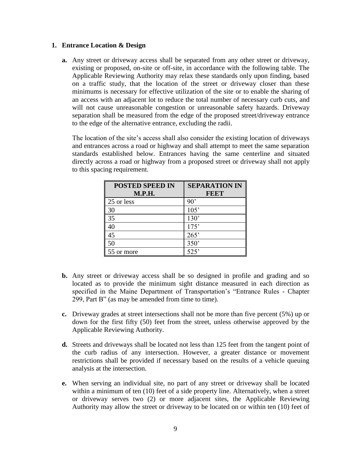#### **1. Entrance Location & Design**

**a.** Any street or driveway access shall be separated from any other street or driveway, existing or proposed, on-site or off-site, in accordance with the following table. The Applicable Reviewing Authority may relax these standards only upon finding, based on a traffic study, that the location of the street or driveway closer than these minimums is necessary for effective utilization of the site or to enable the sharing of an access with an adjacent lot to reduce the total number of necessary curb cuts, and will not cause unreasonable congestion or unreasonable safety hazards. Driveway separation shall be measured from the edge of the proposed street/driveway entrance to the edge of the alternative entrance, excluding the radii.

The location of the site's access shall also consider the existing location of driveways and entrances across a road or highway and shall attempt to meet the same separation standards established below. Entrances having the same centerline and situated directly across a road or highway from a proposed street or driveway shall not apply to this spacing requirement.

| <b>POSTED SPEED IN</b> | <b>SEPARATION IN</b> |
|------------------------|----------------------|
| <b>M.P.H.</b>          | <b>FEET</b>          |
| 25 or less             | $90^{\circ}$         |
| 30                     | 105'                 |
| 35                     | 130'                 |
| 40                     | 175'                 |
| 45                     | 265'                 |
| 50                     | 350'                 |
| 55 or more             | 525'                 |

- **b.** Any street or driveway access shall be so designed in profile and grading and so located as to provide the minimum sight distance measured in each direction as specified in the Maine Department of Transportation's "Entrance Rules - Chapter 299, Part B" (as may be amended from time to time).
- **c.** Driveway grades at street intersections shall not be more than five percent (5%) up or down for the first fifty (50) feet from the street, unless otherwise approved by the Applicable Reviewing Authority.
- **d.** Streets and driveways shall be located not less than 125 feet from the tangent point of the curb radius of any intersection. However, a greater distance or movement restrictions shall be provided if necessary based on the results of a vehicle queuing analysis at the intersection.
- **e.** When serving an individual site, no part of any street or driveway shall be located within a minimum of ten (10) feet of a side property line. Alternatively, when a street or driveway serves two (2) or more adjacent sites, the Applicable Reviewing Authority may allow the street or driveway to be located on or within ten (10) feet of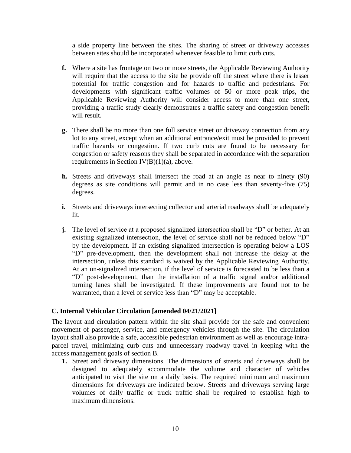a side property line between the sites. The sharing of street or driveway accesses between sites should be incorporated whenever feasible to limit curb cuts.

- **f.** Where a site has frontage on two or more streets, the Applicable Reviewing Authority will require that the access to the site be provide off the street where there is lesser potential for traffic congestion and for hazards to traffic and pedestrians. For developments with significant traffic volumes of 50 or more peak trips, the Applicable Reviewing Authority will consider access to more than one street, providing a traffic study clearly demonstrates a traffic safety and congestion benefit will result.
- **g.** There shall be no more than one full service street or driveway connection from any lot to any street, except when an additional entrance/exit must be provided to prevent traffic hazards or congestion. If two curb cuts are found to be necessary for congestion or safety reasons they shall be separated in accordance with the separation requirements in Section IV(B)(1)(a), above.
- **h.** Streets and driveways shall intersect the road at an angle as near to ninety (90) degrees as site conditions will permit and in no case less than seventy-five (75) degrees.
- **i.** Streets and driveways intersecting collector and arterial roadways shall be adequately lit.
- **j.** The level of service at a proposed signalized intersection shall be "D" or better. At an existing signalized intersection, the level of service shall not be reduced below "D" by the development. If an existing signalized intersection is operating below a LOS "D" pre-development, then the development shall not increase the delay at the intersection, unless this standard is waived by the Applicable Reviewing Authority. At an un-signalized intersection, if the level of service is forecasted to be less than a "D" post-development, than the installation of a traffic signal and/or additional turning lanes shall be investigated. If these improvements are found not to be warranted, than a level of service less than "D" may be acceptable.

#### <span id="page-11-0"></span>**C. Internal Vehicular Circulation [amended 04/21/2021]**

The layout and circulation pattern within the site shall provide for the safe and convenient movement of passenger, service, and emergency vehicles through the site. The circulation layout shall also provide a safe, accessible pedestrian environment as well as encourage intraparcel travel, minimizing curb cuts and unnecessary roadway travel in keeping with the access management goals of section B.

**1.** Street and driveway dimensions. The dimensions of streets and driveways shall be designed to adequately accommodate the volume and character of vehicles anticipated to visit the site on a daily basis. The required minimum and maximum dimensions for driveways are indicated below. Streets and driveways serving large volumes of daily traffic or truck traffic shall be required to establish high to maximum dimensions.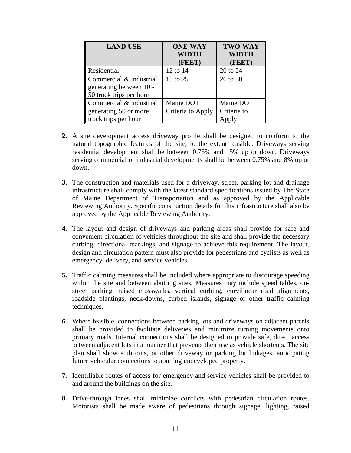| <b>LAND USE</b>         | <b>ONE-WAY</b><br><b>WIDTH</b><br>(FEET) | <b>TWO-WAY</b><br>WIDTH<br>(FEET) |
|-------------------------|------------------------------------------|-----------------------------------|
| Residential             | 12 to 14                                 | 20 to 24                          |
| Commercial & Industrial | 15 to 25                                 | 26 to 30                          |
| generating between 10 - |                                          |                                   |
| 50 truck trips per hour |                                          |                                   |
| Commercial & Industrial | Maine DOT                                | Maine DOT                         |
| generating 50 or more   | Criteria to Apply                        | Criteria to                       |
| truck trips per hour    |                                          |                                   |

- **2.** A site development access driveway profile shall be designed to conform to the natural topographic features of the site, to the extent feasible. Driveways serving residential development shall be between 0.75% and 15% up or down. Driveways serving commercial or industrial developments shall be between 0.75% and 8% up or down.
- **3.** The construction and materials used for a driveway, street, parking lot and drainage infrastructure shall comply with the latest standard specifications issued by The State of Maine Department of Transportation and as approved by the Applicable Reviewing Authority. Specific construction details for this infrastructure shall also be approved by the Applicable Reviewing Authority.
- **4.** The layout and design of driveways and parking areas shall provide for safe and convenient circulation of vehicles throughout the site and shall provide the necessary curbing, directional markings, and signage to achieve this requirement. The layout, design and circulation pattern must also provide for pedestrians and cyclists as well as emergency, delivery, and service vehicles.
- **5.** Traffic calming measures shall be included where appropriate to discourage speeding within the site and between abutting sites. Measures may include speed tables, onstreet parking, raised crosswalks, vertical curbing, curvilinear road alignments, roadside plantings, neck-downs, curbed islands, signage or other traffic calming techniques.
- **6.** Where feasible, connections between parking lots and driveways on adjacent parcels shall be provided to facilitate deliveries and minimize turning movements onto primary roads. Internal connections shall be designed to provide safe, direct access between adjacent lots in a manner that prevents their use as vehicle shortcuts. The site plan shall show stub outs, or other driveway or parking lot linkages, anticipating future vehicular connections to abutting undeveloped property.
- **7.** Identifiable routes of access for emergency and service vehicles shall be provided to and around the buildings on the site.
- **8.** Drive-through lanes shall minimize conflicts with pedestrian circulation routes. Motorists shall be made aware of pedestrians through signage, lighting, raised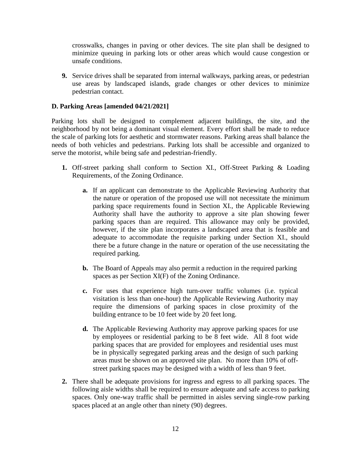crosswalks, changes in paving or other devices. The site plan shall be designed to minimize queuing in parking lots or other areas which would cause congestion or unsafe conditions.

**9.** Service drives shall be separated from internal walkways, parking areas, or pedestrian use areas by landscaped islands, grade changes or other devices to minimize pedestrian contact.

#### <span id="page-13-0"></span>**D. Parking Areas [amended 04/21/2021]**

Parking lots shall be designed to complement adjacent buildings, the site, and the neighborhood by not being a dominant visual element. Every effort shall be made to reduce the scale of parking lots for aesthetic and stormwater reasons. Parking areas shall balance the needs of both vehicles and pedestrians. Parking lots shall be accessible and organized to serve the motorist, while being safe and pedestrian-friendly.

- **1.** Off-street parking shall conform to Section XI., Off-Street Parking & Loading Requirements, of the Zoning Ordinance.
	- **a.** If an applicant can demonstrate to the Applicable Reviewing Authority that the nature or operation of the proposed use will not necessitate the minimum parking space requirements found in Section XI., the Applicable Reviewing Authority shall have the authority to approve a site plan showing fewer parking spaces than are required. This allowance may only be provided, however, if the site plan incorporates a landscaped area that is feasible and adequate to accommodate the requisite parking under Section XI., should there be a future change in the nature or operation of the use necessitating the required parking.
	- **b.** The Board of Appeals may also permit a reduction in the required parking spaces as per Section XI(F) of the Zoning Ordinance.
	- **c.** For uses that experience high turn-over traffic volumes (i.e. typical visitation is less than one-hour) the Applicable Reviewing Authority may require the dimensions of parking spaces in close proximity of the building entrance to be 10 feet wide by 20 feet long.
	- **d.** The Applicable Reviewing Authority may approve parking spaces for use by employees or residential parking to be 8 feet wide. All 8 foot wide parking spaces that are provided for employees and residential uses must be in physically segregated parking areas and the design of such parking areas must be shown on an approved site plan. No more than 10% of offstreet parking spaces may be designed with a width of less than 9 feet.
- **2.** There shall be adequate provisions for ingress and egress to all parking spaces. The following aisle widths shall be required to ensure adequate and safe access to parking spaces. Only one-way traffic shall be permitted in aisles serving single-row parking spaces placed at an angle other than ninety (90) degrees.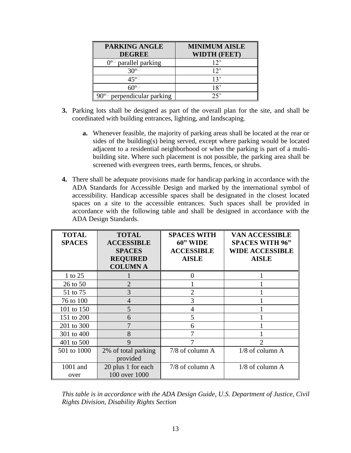| <b>PARKING ANGLE</b>                 | <b>MINIMUM AISLE</b> |
|--------------------------------------|----------------------|
| <b>DEGREE</b>                        | <b>WIDTH (FEET)</b>  |
| $\Omega_{\rm o}$<br>parallel parking | $12^{\circ}$         |
| ვ∩∘∟                                 | 12                   |
| ∆5°⊔                                 | 13'                  |
|                                      | 18'                  |
| perpendicular parking                | つく                   |

- **3.** Parking lots shall be designed as part of the overall plan for the site, and shall be coordinated with building entrances, lighting, and landscaping.
	- **a.** Whenever feasible, the majority of parking areas shall be located at the rear or sides of the building(s) being served, except where parking would be located adjacent to a residential neighborhood or when the parking is part of a multibuilding site. Where such placement is not possible, the parking area shall be screened with evergreen trees, earth berms, fences, or shrubs.
- **4.** There shall be adequate provisions made for handicap parking in accordance with the ADA Standards for Accessible Design and marked by the international symbol of accessibility. Handicap accessible spaces shall be designated in the closest located spaces on a site to the accessible entrances. Such spaces shall be provided in accordance with the following table and shall be designed in accordance with the ADA Design Standards.

| <b>TOTAL</b><br><b>SPACES</b> | <b>TOTAL</b><br><b>ACCESSIBLE</b><br><b>SPACES</b><br><b>REQUIRED</b> | <b>SPACES WITH</b><br>60" WIDE<br><b>ACCESSIBLE</b><br><b>AISLE</b> | <b>VAN ACCESSIBLE</b><br><b>SPACES WITH 96"</b><br><b>WIDE ACCESSIBLE</b><br><b>AISLE</b> |
|-------------------------------|-----------------------------------------------------------------------|---------------------------------------------------------------------|-------------------------------------------------------------------------------------------|
|                               | <b>COLUMN A</b>                                                       |                                                                     |                                                                                           |
| 1 to 25                       |                                                                       | 0                                                                   |                                                                                           |
| 26 to 50                      | $\overline{2}$                                                        |                                                                     |                                                                                           |
| 51 to 75                      | 3                                                                     | $\overline{2}$                                                      |                                                                                           |
| 76 to 100                     | 4                                                                     | 3                                                                   |                                                                                           |
| 101 to 150                    | 5                                                                     | 4                                                                   |                                                                                           |
| 151 to 200                    | 6                                                                     | 5                                                                   |                                                                                           |
| 201 to 300                    |                                                                       | 6                                                                   |                                                                                           |
| 301 to 400                    | 8                                                                     |                                                                     |                                                                                           |
| 401 to 500                    | 9                                                                     |                                                                     | 2                                                                                         |
| 501 to 1000                   | 2% of total parking<br>provided                                       | $7/8$ of column A                                                   | 1/8 of column A                                                                           |
| 1001 and<br>over              | 20 plus 1 for each<br>100 over 1000                                   | 7/8 of column A                                                     | $1/8$ of column A                                                                         |

*This table is in accordance with the ADA Design Guide, U.S. Department of Justice, Civil Rights Division, Disability Rights Section*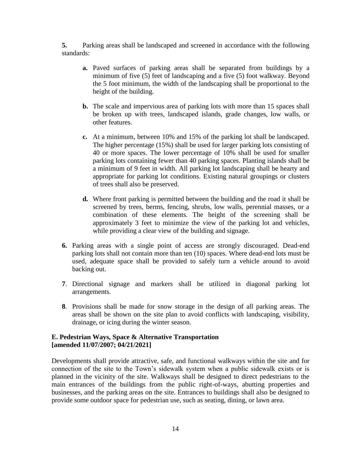**5.** Parking areas shall be landscaped and screened in accordance with the following standards:

- **a.** Paved surfaces of parking areas shall be separated from buildings by a minimum of five (5) feet of landscaping and a five (5) foot walkway. Beyond the 5 foot minimum, the width of the landscaping shall be proportional to the height of the building.
- **b.** The scale and impervious area of parking lots with more than 15 spaces shall be broken up with trees, landscaped islands, grade changes, low walls, or other features.
- **c.** At a minimum, between 10% and 15% of the parking lot shall be landscaped. The higher percentage (15%) shall be used for larger parking lots consisting of 40 or more spaces. The lower percentage of 10% shall be used for smaller parking lots containing fewer than 40 parking spaces. Planting islands shall be a minimum of 9 feet in width. All parking lot landscaping shall be hearty and appropriate for parking lot conditions. Existing natural groupings or clusters of trees shall also be preserved.
- **d.** Where front parking is permitted between the building and the road it shall be screened by trees, berms, fencing, shrubs, low walls, perennial masses, or a combination of these elements. The height of the screening shall be approximately 3 feet to minimize the view of the parking lot and vehicles, while providing a clear view of the building and signage.
- **6.** Parking areas with a single point of access are strongly discouraged. Dead-end parking lots shall not contain more than ten (10) spaces. Where dead-end lots must be used, adequate space shall be provided to safely turn a vehicle around to avoid backing out.
- **7**. Directional signage and markers shall be utilized in diagonal parking lot arrangements.
- **8**. Provisions shall be made for snow storage in the design of all parking areas. The areas shall be shown on the site plan to avoid conflicts with landscaping, visibility, drainage, or icing during the winter season.

#### <span id="page-15-0"></span>**E. Pedestrian Ways, Space & Alternative Transportation [amended 11/07/2007; 04/21/2021]**

Developments shall provide attractive, safe, and functional walkways within the site and for connection of the site to the Town's sidewalk system when a public sidewalk exists or is planned in the vicinity of the site. Walkways shall be designed to direct pedestrians to the main entrances of the buildings from the public right-of-ways, abutting properties and businesses, and the parking areas on the site. Entrances to buildings shall also be designed to provide some outdoor space for pedestrian use, such as seating, dining, or lawn area.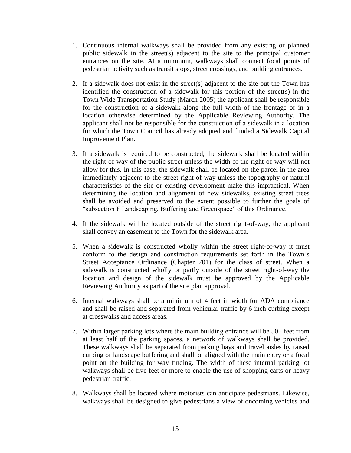- 1. Continuous internal walkways shall be provided from any existing or planned public sidewalk in the street(s) adjacent to the site to the principal customer entrances on the site. At a minimum, walkways shall connect focal points of pedestrian activity such as transit stops, street crossings, and building entrances.
- 2. If a sidewalk does not exist in the street(s) adjacent to the site but the Town has identified the construction of a sidewalk for this portion of the street(s) in the Town Wide Transportation Study (March 2005) the applicant shall be responsible for the construction of a sidewalk along the full width of the frontage or in a location otherwise determined by the Applicable Reviewing Authority. The applicant shall not be responsible for the construction of a sidewalk in a location for which the Town Council has already adopted and funded a Sidewalk Capital Improvement Plan.
- 3. If a sidewalk is required to be constructed, the sidewalk shall be located within the right-of-way of the public street unless the width of the right-of-way will not allow for this. In this case, the sidewalk shall be located on the parcel in the area immediately adjacent to the street right-of-way unless the topography or natural characteristics of the site or existing development make this impractical. When determining the location and alignment of new sidewalks, existing street trees shall be avoided and preserved to the extent possible to further the goals of "subsection F Landscaping, Buffering and Greenspace" of this Ordinance.
- 4. If the sidewalk will be located outside of the street right-of-way, the applicant shall convey an easement to the Town for the sidewalk area.
- 5. When a sidewalk is constructed wholly within the street right-of-way it must conform to the design and construction requirements set forth in the Town's Street Acceptance Ordinance (Chapter 701) for the class of street. When a sidewalk is constructed wholly or partly outside of the street right-of-way the location and design of the sidewalk must be approved by the Applicable Reviewing Authority as part of the site plan approval.
- 6. Internal walkways shall be a minimum of 4 feet in width for ADA compliance and shall be raised and separated from vehicular traffic by 6 inch curbing except at crosswalks and access areas.
- 7. Within larger parking lots where the main building entrance will be 50+ feet from at least half of the parking spaces, a network of walkways shall be provided. These walkways shall be separated from parking bays and travel aisles by raised curbing or landscape buffering and shall be aligned with the main entry or a focal point on the building for way finding. The width of these internal parking lot walkways shall be five feet or more to enable the use of shopping carts or heavy pedestrian traffic.
- 8. Walkways shall be located where motorists can anticipate pedestrians. Likewise, walkways shall be designed to give pedestrians a view of oncoming vehicles and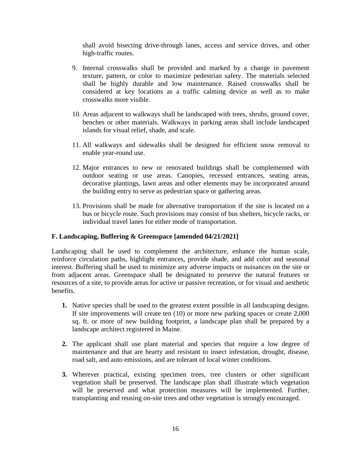shall avoid bisecting drive-through lanes, access and service drives, and other high-traffic routes.

- 9. Internal crosswalks shall be provided and marked by a change in pavement texture, pattern, or color to maximize pedestrian safety. The materials selected shall be highly durable and low maintenance. Raised crosswalks shall be considered at key locations as a traffic calming device as well as to make crosswalks more visible.
- 10. Areas adjacent to walkways shall be landscaped with trees, shrubs, ground cover, benches or other materials. Walkways in parking areas shall include landscaped islands for visual relief, shade, and scale.
- 11. All walkways and sidewalks shall be designed for efficient snow removal to enable year-round use.
- 12. Major entrances to new or renovated buildings shall be complemented with outdoor seating or use areas. Canopies, recessed entrances, seating areas, decorative plantings, lawn areas and other elements may be incorporated around the building entry to serve as pedestrian space or gathering areas.
- 13. Provisions shall be made for alternative transportation if the site is located on a bus or bicycle route. Such provisions may consist of bus shelters, bicycle racks, or individual travel lanes for either mode of transportation.

#### <span id="page-17-0"></span>**F. Landscaping, Buffering & Greenspace [amended 04/21/2021]**

Landscaping shall be used to complement the architecture, enhance the human scale, reinforce circulation paths, highlight entrances, provide shade, and add color and seasonal interest. Buffering shall be used to minimize any adverse impacts or nuisances on the site or from adjacent areas. Greenspace shall be designated to preserve the natural features or resources of a site, to provide areas for active or passive recreation, or for visual and aesthetic benefits.

- **1.** Native species shall be used to the greatest extent possible in all landscaping designs. If site improvements will create ten (10) or more new parking spaces or create 2,000 sq. ft. or more of new building footprint, a landscape plan shall be prepared by a landscape architect registered in Maine.
- **2.** The applicant shall use plant material and species that require a low degree of maintenance and that are hearty and resistant to insect infestation, drought, disease, road salt, and auto emissions, and are tolerant of local winter conditions.
- **3.** Wherever practical, existing specimen trees, tree clusters or other significant vegetation shall be preserved. The landscape plan shall illustrate which vegetation will be preserved and what protection measures will be implemented. Further, transplanting and reusing on-site trees and other vegetation is strongly encouraged.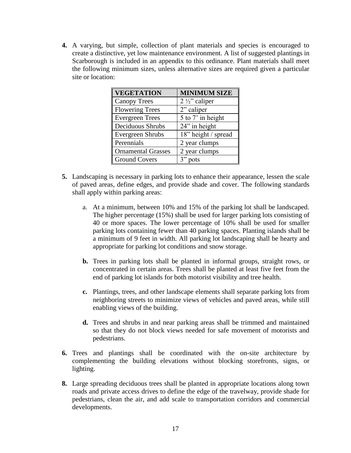**4.** A varying, but simple, collection of plant materials and species is encouraged to create a distinctive, yet low maintenance environment. A list of suggested plantings in Scarborough is included in an appendix to this ordinance. Plant materials shall meet the following minimum sizes, unless alternative sizes are required given a particular site or location:

| <b>VEGETATION</b>         | <b>MINIMUM SIZE</b>      |
|---------------------------|--------------------------|
| <b>Canopy Trees</b>       | $2\frac{1}{2}$ " caliper |
| <b>Flowering Trees</b>    | 2" caliper               |
| <b>Evergreen Trees</b>    | 5 to 7' in height        |
| Deciduous Shrubs          | 24" in height            |
| <b>Evergreen Shrubs</b>   | 18" height / spread      |
| Perennials                | 2 year clumps            |
| <b>Ornamental Grasses</b> | 2 year clumps            |
| <b>Ground Covers</b>      | 3"<br>pots               |

- **5.** Landscaping is necessary in parking lots to enhance their appearance, lessen the scale of paved areas, define edges, and provide shade and cover. The following standards shall apply within parking areas:
	- a. At a minimum, between 10% and 15% of the parking lot shall be landscaped. The higher percentage (15%) shall be used for larger parking lots consisting of 40 or more spaces. The lower percentage of 10% shall be used for smaller parking lots containing fewer than 40 parking spaces. Planting islands shall be a minimum of 9 feet in width. All parking lot landscaping shall be hearty and appropriate for parking lot conditions and snow storage.
	- **b.** Trees in parking lots shall be planted in informal groups, straight rows, or concentrated in certain areas. Trees shall be planted at least five feet from the end of parking lot islands for both motorist visibility and tree health.
	- **c.** Plantings, trees, and other landscape elements shall separate parking lots from neighboring streets to minimize views of vehicles and paved areas, while still enabling views of the building.
	- **d.** Trees and shrubs in and near parking areas shall be trimmed and maintained so that they do not block views needed for safe movement of motorists and pedestrians.
- **6.** Trees and plantings shall be coordinated with the on-site architecture by complementing the building elevations without blocking storefronts, signs, or lighting.
- **8.** Large spreading deciduous trees shall be planted in appropriate locations along town roads and private access drives to define the edge of the travelway, provide shade for pedestrians, clean the air, and add scale to transportation corridors and commercial developments.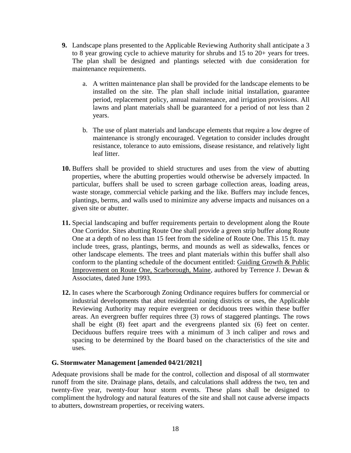- **9.** Landscape plans presented to the Applicable Reviewing Authority shall anticipate a 3 to 8 year growing cycle to achieve maturity for shrubs and 15 to 20+ years for trees. The plan shall be designed and plantings selected with due consideration for maintenance requirements.
	- a. A written maintenance plan shall be provided for the landscape elements to be installed on the site. The plan shall include initial installation, guarantee period, replacement policy, annual maintenance, and irrigation provisions. All lawns and plant materials shall be guaranteed for a period of not less than 2 years.
	- b. The use of plant materials and landscape elements that require a low degree of maintenance is strongly encouraged. Vegetation to consider includes drought resistance, tolerance to auto emissions, disease resistance, and relatively light leaf litter.
- **10.** Buffers shall be provided to shield structures and uses from the view of abutting properties, where the abutting properties would otherwise be adversely impacted. In particular, buffers shall be used to screen garbage collection areas, loading areas, waste storage, commercial vehicle parking and the like. Buffers may include fences, plantings, berms, and walls used to minimize any adverse impacts and nuisances on a given site or abutter.
- **11.** Special landscaping and buffer requirements pertain to development along the Route One Corridor. Sites abutting Route One shall provide a green strip buffer along Route One at a depth of no less than 15 feet from the sideline of Route One. This 15 ft. may include trees, grass, plantings, berms, and mounds as well as sidewalks, fences or other landscape elements. The trees and plant materials within this buffer shall also conform to the planting schedule of the document entitled: Guiding Growth & Public Improvement on Route One, Scarborough, Maine, authored by Terrence J. Dewan & Associates, dated June 1993.
- **12.** In cases where the Scarborough Zoning Ordinance requires buffers for commercial or industrial developments that abut residential zoning districts or uses, the Applicable Reviewing Authority may require evergreen or deciduous trees within these buffer areas. An evergreen buffer requires three (3) rows of staggered plantings. The rows shall be eight (8) feet apart and the evergreens planted six (6) feet on center. Deciduous buffers require trees with a minimum of 3 inch caliper and rows and spacing to be determined by the Board based on the characteristics of the site and uses.

#### <span id="page-19-0"></span>**G. Stormwater Management [amended 04/21/2021]**

Adequate provisions shall be made for the control, collection and disposal of all stormwater runoff from the site. Drainage plans, details, and calculations shall address the two, ten and twenty-five year, twenty-four hour storm events. These plans shall be designed to compliment the hydrology and natural features of the site and shall not cause adverse impacts to abutters, downstream properties, or receiving waters.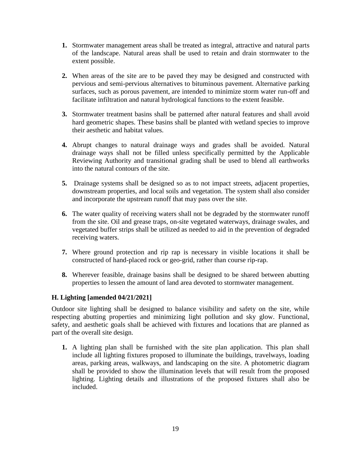- **1.** Stormwater management areas shall be treated as integral, attractive and natural parts of the landscape. Natural areas shall be used to retain and drain stormwater to the extent possible.
- **2.** When areas of the site are to be paved they may be designed and constructed with pervious and semi-pervious alternatives to bituminous pavement. Alternative parking surfaces, such as porous pavement, are intended to minimize storm water run-off and facilitate infiltration and natural hydrological functions to the extent feasible.
- **3.** Stormwater treatment basins shall be patterned after natural features and shall avoid hard geometric shapes. These basins shall be planted with wetland species to improve their aesthetic and habitat values.
- **4.** Abrupt changes to natural drainage ways and grades shall be avoided. Natural drainage ways shall not be filled unless specifically permitted by the Applicable Reviewing Authority and transitional grading shall be used to blend all earthworks into the natural contours of the site.
- **5.** Drainage systems shall be designed so as to not impact streets, adjacent properties, downstream properties, and local soils and vegetation. The system shall also consider and incorporate the upstream runoff that may pass over the site.
- **6.** The water quality of receiving waters shall not be degraded by the stormwater runoff from the site. Oil and grease traps, on-site vegetated waterways, drainage swales, and vegetated buffer strips shall be utilized as needed to aid in the prevention of degraded receiving waters.
- **7.** Where ground protection and rip rap is necessary in visible locations it shall be constructed of hand-placed rock or geo-grid, rather than course rip-rap.
- **8.** Wherever feasible, drainage basins shall be designed to be shared between abutting properties to lessen the amount of land area devoted to stormwater management.

#### <span id="page-20-0"></span>**H. Lighting [amended 04/21/2021]**

Outdoor site lighting shall be designed to balance visibility and safety on the site, while respecting abutting properties and minimizing light pollution and sky glow. Functional, safety, and aesthetic goals shall be achieved with fixtures and locations that are planned as part of the overall site design.

**1.** A lighting plan shall be furnished with the site plan application. This plan shall include all lighting fixtures proposed to illuminate the buildings, travelways, loading areas, parking areas, walkways, and landscaping on the site. A photometric diagram shall be provided to show the illumination levels that will result from the proposed lighting. Lighting details and illustrations of the proposed fixtures shall also be included.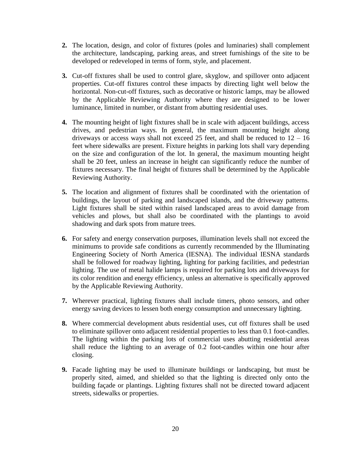- **2.** The location, design, and color of fixtures (poles and luminaries) shall complement the architecture, landscaping, parking areas, and street furnishings of the site to be developed or redeveloped in terms of form, style, and placement.
- **3.** Cut-off fixtures shall be used to control glare, skyglow, and spillover onto adjacent properties. Cut-off fixtures control these impacts by directing light well below the horizontal. Non-cut-off fixtures, such as decorative or historic lamps, may be allowed by the Applicable Reviewing Authority where they are designed to be lower luminance, limited in number, or distant from abutting residential uses.
- **4.** The mounting height of light fixtures shall be in scale with adjacent buildings, access drives, and pedestrian ways. In general, the maximum mounting height along driveways or access ways shall not exceed 25 feet, and shall be reduced to  $12 - 16$ feet where sidewalks are present. Fixture heights in parking lots shall vary depending on the size and configuration of the lot. In general, the maximum mounting height shall be 20 feet, unless an increase in height can significantly reduce the number of fixtures necessary. The final height of fixtures shall be determined by the Applicable Reviewing Authority.
- **5.** The location and alignment of fixtures shall be coordinated with the orientation of buildings, the layout of parking and landscaped islands, and the driveway patterns. Light fixtures shall be sited within raised landscaped areas to avoid damage from vehicles and plows, but shall also be coordinated with the plantings to avoid shadowing and dark spots from mature trees.
- **6.** For safety and energy conservation purposes, illumination levels shall not exceed the minimums to provide safe conditions as currently recommended by the Illuminating Engineering Society of North America (IESNA). The individual IESNA standards shall be followed for roadway lighting, lighting for parking facilities, and pedestrian lighting. The use of metal halide lamps is required for parking lots and driveways for its color rendition and energy efficiency, unless an alternative is specifically approved by the Applicable Reviewing Authority.
- **7.** Wherever practical, lighting fixtures shall include timers, photo sensors, and other energy saving devices to lessen both energy consumption and unnecessary lighting.
- **8.** Where commercial development abuts residential uses, cut off fixtures shall be used to eliminate spillover onto adjacent residential properties to less than 0.1 foot-candles. The lighting within the parking lots of commercial uses abutting residential areas shall reduce the lighting to an average of 0.2 foot-candles within one hour after closing.
- **9.** Facade lighting may be used to illuminate buildings or landscaping, but must be properly sited, aimed, and shielded so that the lighting is directed only onto the building façade or plantings. Lighting fixtures shall not be directed toward adjacent streets, sidewalks or properties.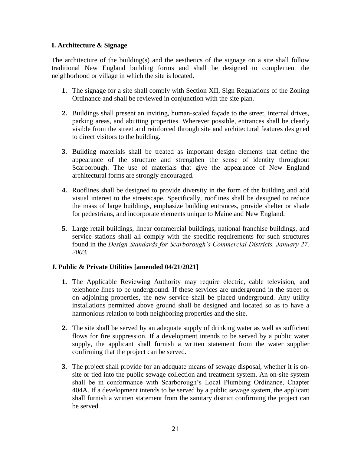#### <span id="page-22-0"></span>**I. Architecture & Signage**

The architecture of the building(s) and the aesthetics of the signage on a site shall follow traditional New England building forms and shall be designed to complement the neighborhood or village in which the site is located.

- **1.** The signage for a site shall comply with Section XII, Sign Regulations of the Zoning Ordinance and shall be reviewed in conjunction with the site plan.
- **2.** Buildings shall present an inviting, human-scaled façade to the street, internal drives, parking areas, and abutting properties. Wherever possible, entrances shall be clearly visible from the street and reinforced through site and architectural features designed to direct visitors to the building.
- **3.** Building materials shall be treated as important design elements that define the appearance of the structure and strengthen the sense of identity throughout Scarborough. The use of materials that give the appearance of New England architectural forms are strongly encouraged.
- **4.** Rooflines shall be designed to provide diversity in the form of the building and add visual interest to the streetscape. Specifically, rooflines shall be designed to reduce the mass of large buildings, emphasize building entrances, provide shelter or shade for pedestrians, and incorporate elements unique to Maine and New England.
- **5.** Large retail buildings, linear commercial buildings, national franchise buildings, and service stations shall all comply with the specific requirements for such structures found in the *Design Standards for Scarborough's Commercial Districts, January 27, 2003.*

#### <span id="page-22-1"></span>**J. Public & Private Utilities [amended 04/21/2021]**

- **1.** The Applicable Reviewing Authority may require electric, cable television, and telephone lines to be underground. If these services are underground in the street or on adjoining properties, the new service shall be placed underground. Any utility installations permitted above ground shall be designed and located so as to have a harmonious relation to both neighboring properties and the site.
- **2.** The site shall be served by an adequate supply of drinking water as well as sufficient flows for fire suppression. If a development intends to be served by a public water supply, the applicant shall furnish a written statement from the water supplier confirming that the project can be served.
- **3.** The project shall provide for an adequate means of sewage disposal, whether it is onsite or tied into the public sewage collection and treatment system. An on-site system shall be in conformance with Scarborough's Local Plumbing Ordinance, Chapter 404A. If a development intends to be served by a public sewage system, the applicant shall furnish a written statement from the sanitary district confirming the project can be served.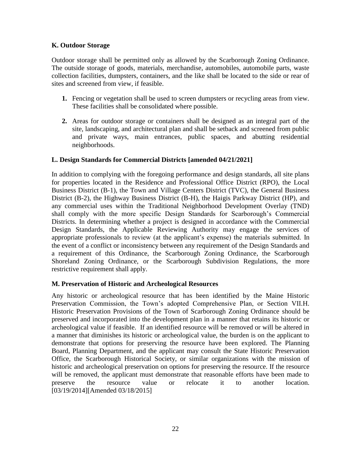#### <span id="page-23-0"></span>**K. Outdoor Storage**

Outdoor storage shall be permitted only as allowed by the Scarborough Zoning Ordinance. The outside storage of goods, materials, merchandise, automobiles, automobile parts, waste collection facilities, dumpsters, containers, and the like shall be located to the side or rear of sites and screened from view, if feasible.

- **1.** Fencing or vegetation shall be used to screen dumpsters or recycling areas from view. These facilities shall be consolidated where possible.
- **2.** Areas for outdoor storage or containers shall be designed as an integral part of the site, landscaping, and architectural plan and shall be setback and screened from public and private ways, main entrances, public spaces, and abutting residential neighborhoods.

#### <span id="page-23-1"></span>**L. Design Standards for Commercial Districts [amended 04/21/2021]**

In addition to complying with the foregoing performance and design standards, all site plans for properties located in the Residence and Professional Office District (RPO), the Local Business District (B-1), the Town and Village Centers District (TVC), the General Business District (B-2), the Highway Business District (B-H), the Haigis Parkway District (HP), and any commercial uses within the Traditional Neighborhood Development Overlay (TND) shall comply with the more specific Design Standards for Scarborough's Commercial Districts. In determining whether a project is designed in accordance with the Commercial Design Standards, the Applicable Reviewing Authority may engage the services of appropriate professionals to review (at the applicant's expense) the materials submitted. In the event of a conflict or inconsistency between any requirement of the Design Standards and a requirement of this Ordinance, the Scarborough Zoning Ordinance, the Scarborough Shoreland Zoning Ordinance, or the Scarborough Subdivision Regulations, the more restrictive requirement shall apply.

#### **M. Preservation of Historic and Archeological Resources**

Any historic or archeological resource that has been identified by the Maine Historic Preservation Commission, the Town's adopted Comprehensive Plan, or Section VII.H. Historic Preservation Provisions of the Town of Scarborough Zoning Ordinance should be preserved and incorporated into the development plan in a manner that retains its historic or archeological value if feasible. If an identified resource will be removed or will be altered in a manner that diminishes its historic or archeological value, the burden is on the applicant to demonstrate that options for preserving the resource have been explored. The Planning Board, Planning Department, and the applicant may consult the State Historic Preservation Office, the Scarborough Historical Society, or similar organizations with the mission of historic and archeological preservation on options for preserving the resource. If the resource will be removed, the applicant must demonstrate that reasonable efforts have been made to preserve the resource value or relocate it to another location. [03/19/2014][Amended 03/18/2015]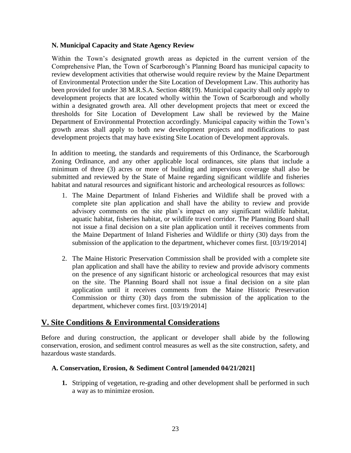#### **N. Municipal Capacity and State Agency Review**

Within the Town's designated growth areas as depicted in the current version of the Comprehensive Plan, the Town of Scarborough's Planning Board has municipal capacity to review development activities that otherwise would require review by the Maine Department of Environmental Protection under the Site Location of Development Law. This authority has been provided for under 38 M.R.S.A. Section 488(19). Municipal capacity shall only apply to development projects that are located wholly within the Town of Scarborough and wholly within a designated growth area. All other development projects that meet or exceed the thresholds for Site Location of Development Law shall be reviewed by the Maine Department of Environmental Protection accordingly. Municipal capacity within the Town's growth areas shall apply to both new development projects and modifications to past development projects that may have existing Site Location of Development approvals.

In addition to meeting, the standards and requirements of this Ordinance, the Scarborough Zoning Ordinance, and any other applicable local ordinances, site plans that include a minimum of three (3) acres or more of building and impervious coverage shall also be submitted and reviewed by the State of Maine regarding significant wildlife and fisheries habitat and natural resources and significant historic and archeological resources as follows:

- 1. The Maine Department of Inland Fisheries and Wildlife shall be proved with a complete site plan application and shall have the ability to review and provide advisory comments on the site plan's impact on any significant wildlife habitat, aquatic habitat, fisheries habitat, or wildlife travel corridor. The Planning Board shall not issue a final decision on a site plan application until it receives comments from the Maine Department of Inland Fisheries and Wildlife or thirty (30) days from the submission of the application to the department, whichever comes first. [03/19/2014]
- 2. The Maine Historic Preservation Commission shall be provided with a complete site plan application and shall have the ability to review and provide advisory comments on the presence of any significant historic or archeological resources that may exist on the site. The Planning Board shall not issue a final decision on a site plan application until it receives comments from the Maine Historic Preservation Commission or thirty (30) days from the submission of the application to the department, whichever comes first. [03/19/2014]

#### <span id="page-24-0"></span>**V. Site Conditions & Environmental Considerations**

Before and during construction, the applicant or developer shall abide by the following conservation, erosion, and sediment control measures as well as the site construction, safety, and hazardous waste standards.

#### <span id="page-24-1"></span>**A. Conservation, Erosion, & Sediment Control [amended 04/21/2021]**

**1.** Stripping of vegetation, re-grading and other development shall be performed in such a way as to minimize erosion.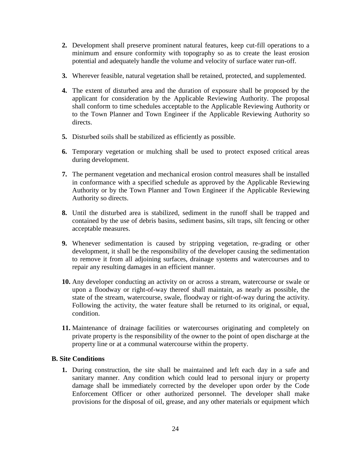- **2.** Development shall preserve prominent natural features, keep cut-fill operations to a minimum and ensure conformity with topography so as to create the least erosion potential and adequately handle the volume and velocity of surface water run-off.
- **3.** Wherever feasible, natural vegetation shall be retained, protected, and supplemented.
- **4.** The extent of disturbed area and the duration of exposure shall be proposed by the applicant for consideration by the Applicable Reviewing Authority. The proposal shall conform to time schedules acceptable to the Applicable Reviewing Authority or to the Town Planner and Town Engineer if the Applicable Reviewing Authority so directs.
- **5.** Disturbed soils shall be stabilized as efficiently as possible.
- **6.** Temporary vegetation or mulching shall be used to protect exposed critical areas during development.
- **7.** The permanent vegetation and mechanical erosion control measures shall be installed in conformance with a specified schedule as approved by the Applicable Reviewing Authority or by the Town Planner and Town Engineer if the Applicable Reviewing Authority so directs.
- **8.** Until the disturbed area is stabilized, sediment in the runoff shall be trapped and contained by the use of debris basins, sediment basins, silt traps, silt fencing or other acceptable measures.
- **9.** Whenever sedimentation is caused by stripping vegetation, re-grading or other development, it shall be the responsibility of the developer causing the sedimentation to remove it from all adjoining surfaces, drainage systems and watercourses and to repair any resulting damages in an efficient manner.
- **10.** Any developer conducting an activity on or across a stream, watercourse or swale or upon a floodway or right-of-way thereof shall maintain, as nearly as possible, the state of the stream, watercourse, swale, floodway or right-of-way during the activity. Following the activity, the water feature shall be returned to its original, or equal, condition.
- **11.** Maintenance of drainage facilities or watercourses originating and completely on private property is the responsibility of the owner to the point of open discharge at the property line or at a communal watercourse within the property.

#### <span id="page-25-0"></span>**B. Site Conditions**

**1.** During construction, the site shall be maintained and left each day in a safe and sanitary manner. Any condition which could lead to personal injury or property damage shall be immediately corrected by the developer upon order by the Code Enforcement Officer or other authorized personnel. The developer shall make provisions for the disposal of oil, grease, and any other materials or equipment which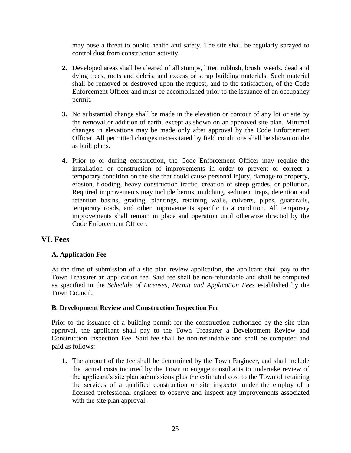may pose a threat to public health and safety. The site shall be regularly sprayed to control dust from construction activity.

- **2.** Developed areas shall be cleared of all stumps, litter, rubbish, brush, weeds, dead and dying trees, roots and debris, and excess or scrap building materials. Such material shall be removed or destroyed upon the request, and to the satisfaction, of the Code Enforcement Officer and must be accomplished prior to the issuance of an occupancy permit.
- **3.** No substantial change shall be made in the elevation or contour of any lot or site by the removal or addition of earth, except as shown on an approved site plan. Minimal changes in elevations may be made only after approval by the Code Enforcement Officer. All permitted changes necessitated by field conditions shall be shown on the as built plans.
- **4.** Prior to or during construction, the Code Enforcement Officer may require the installation or construction of improvements in order to prevent or correct a temporary condition on the site that could cause personal injury, damage to property, erosion, flooding, heavy construction traffic, creation of steep grades, or pollution. Required improvements may include berms, mulching, sediment traps, detention and retention basins, grading, plantings, retaining walls, culverts, pipes, guardrails, temporary roads, and other improvements specific to a condition. All temporary improvements shall remain in place and operation until otherwise directed by the Code Enforcement Officer.

# <span id="page-26-0"></span>**VI. Fees**

#### <span id="page-26-1"></span>**A. Application Fee**

At the time of submission of a site plan review application, the applicant shall pay to the Town Treasurer an application fee. Said fee shall be non-refundable and shall be computed as specified in the *Schedule of Licenses, Permit and Application Fees* established by the Town Council.

#### <span id="page-26-2"></span>**B. Development Review and Construction Inspection Fee**

Prior to the issuance of a building permit for the construction authorized by the site plan approval, the applicant shall pay to the Town Treasurer a Development Review and Construction Inspection Fee. Said fee shall be non-refundable and shall be computed and paid as follows:

**1.** The amount of the fee shall be determined by the Town Engineer, and shall include the actual costs incurred by the Town to engage consultants to undertake review of the applicant's site plan submissions plus the estimated cost to the Town of retaining the services of a qualified construction or site inspector under the employ of a licensed professional engineer to observe and inspect any improvements associated with the site plan approval.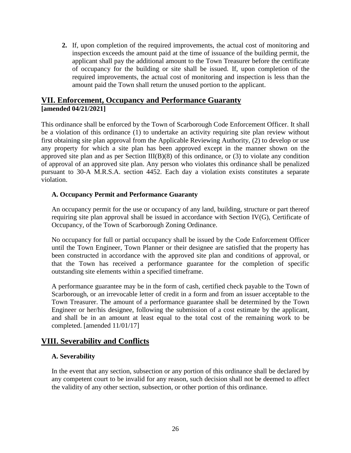**2.** If, upon completion of the required improvements, the actual cost of monitoring and inspection exceeds the amount paid at the time of issuance of the building permit, the applicant shall pay the additional amount to the Town Treasurer before the certificate of occupancy for the building or site shall be issued. If, upon completion of the required improvements, the actual cost of monitoring and inspection is less than the amount paid the Town shall return the unused portion to the applicant.

# <span id="page-27-0"></span>**VII. Enforcement, Occupancy and Performance Guaranty [amended 04/21/2021]**

This ordinance shall be enforced by the Town of Scarborough Code Enforcement Officer. It shall be a violation of this ordinance (1) to undertake an activity requiring site plan review without first obtaining site plan approval from the Applicable Reviewing Authority, (2) to develop or use any property for which a site plan has been approved except in the manner shown on the approved site plan and as per Section III(B)(8) of this ordinance, or (3) to violate any condition of approval of an approved site plan. Any person who violates this ordinance shall be penalized pursuant to 30-A M.R.S.A. section 4452. Each day a violation exists constitutes a separate violation.

#### <span id="page-27-1"></span>**A. Occupancy Permit and Performance Guaranty**

An occupancy permit for the use or occupancy of any land, building, structure or part thereof requiring site plan approval shall be issued in accordance with Section IV(G), Certificate of Occupancy, of the Town of Scarborough Zoning Ordinance.

No occupancy for full or partial occupancy shall be issued by the Code Enforcement Officer until the Town Engineer, Town Planner or their designee are satisfied that the property has been constructed in accordance with the approved site plan and conditions of approval, or that the Town has received a performance guarantee for the completion of specific outstanding site elements within a specified timeframe.

A performance guarantee may be in the form of cash, certified check payable to the Town of Scarborough, or an irrevocable letter of credit in a form and from an issuer acceptable to the Town Treasurer. The amount of a performance guarantee shall be determined by the Town Engineer or her/his designee, following the submission of a cost estimate by the applicant, and shall be in an amount at least equal to the total cost of the remaining work to be completed. [amended 11/01/17]

# <span id="page-27-2"></span>**VIII. Severability and Conflicts**

#### <span id="page-27-3"></span>**A. Severability**

In the event that any section, subsection or any portion of this ordinance shall be declared by any competent court to be invalid for any reason, such decision shall not be deemed to affect the validity of any other section, subsection, or other portion of this ordinance.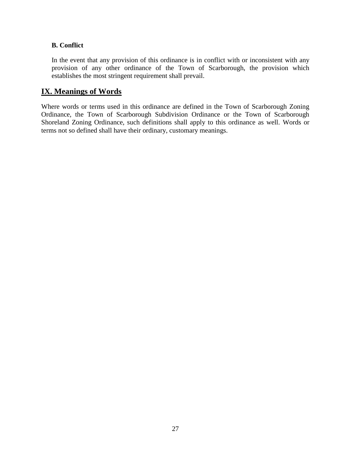#### <span id="page-28-0"></span>**B. Conflict**

In the event that any provision of this ordinance is in conflict with or inconsistent with any provision of any other ordinance of the Town of Scarborough, the provision which establishes the most stringent requirement shall prevail.

# <span id="page-28-1"></span>**IX. Meanings of Words**

Where words or terms used in this ordinance are defined in the Town of Scarborough Zoning Ordinance, the Town of Scarborough Subdivision Ordinance or the Town of Scarborough Shoreland Zoning Ordinance, such definitions shall apply to this ordinance as well. Words or terms not so defined shall have their ordinary, customary meanings.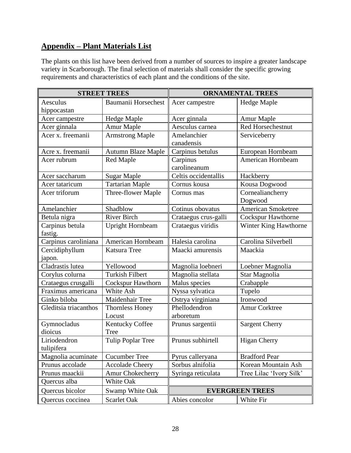# <span id="page-29-0"></span>**Appendix – Plant Materials List**

The plants on this list have been derived from a number of sources to inspire a greater landscape variety in Scarborough. The final selection of materials shall consider the specific growing requirements and characteristics of each plant and the conditions of the site.

| <b>STREET TREES</b>   |                           | <b>ORNAMENTAL TREES</b> |                           |
|-----------------------|---------------------------|-------------------------|---------------------------|
| Aesculus              | Baumanii Horsechest       | Acer campestre          | Hedge Maple               |
| hippocastan           |                           |                         |                           |
| Acer campestre        | <b>Hedge Maple</b>        | Acer ginnala            | Amur Maple                |
| Acer ginnala          | Amur Maple                | Aesculus carnea         | Red Horsechestnut         |
| Acer x. freemanii     | <b>Armstrong Maple</b>    | Amelanchier             | Serviceberry              |
|                       |                           | canadensis              |                           |
| Acre x. freemanii     | <b>Autumn Blaze Maple</b> | Carpinus betulus        | European Hornbeam         |
| Acer rubrum           | Red Maple                 | Carpinus                | American Hornbeam         |
|                       |                           | carolineanum            |                           |
| Acer saccharum        | <b>Sugar Maple</b>        | Celtis occidentallis    | Hackberry                 |
| Acer tataricum        | <b>Tartarian Maple</b>    | Cornus kousa            | Kousa Dogwood             |
| Acer triforum         | Three-flower Maple        | Cornus mas              | Cornealiancherry          |
|                       |                           |                         | Dogwood                   |
| Amelanchier           | Shadblow                  | Cotinus obovatus        | <b>American Smoketree</b> |
| Betula nigra          | <b>River Birch</b>        | Crataegus crus-galli    | <b>Cockspur Hawthorne</b> |
| Carpinus betula       | <b>Upright Hornbeam</b>   | Crataegus viridis       | Winter King Hawthorne     |
| fastig.               |                           |                         |                           |
| Carpinus caroliniana  | American Hornbeam         | Halesia carolina        | Carolina Silverbell       |
| Cercidiphyllum        | <b>Katsura Tree</b>       | Maacki amurensis        | Maackia                   |
| japon.                |                           |                         |                           |
| Cladrastis lutea      | Yellowood                 | Magnolia loebneri       | Loebner Magnolia          |
| Corylus colurna       | <b>Turkish Filbert</b>    | Magnolia stellata       | Star Magnolia             |
| Crataegus crusgalli   | <b>Cockspur Hawthorn</b>  | Malus species           | Crabapple                 |
| Fraximus americana    | White Ash                 | Nyssa sylvatica         | Tupelo                    |
| Ginko biloba          | Maidenhair Tree           | Ostrya virginiana       | Ironwood                  |
| Gleditsia triacanthos | <b>Thornless Honey</b>    | Phellodendron           | <b>Amur Corktree</b>      |
|                       | Locust                    | arboretum               |                           |
| Gymnocladus           | <b>Kentucky Coffee</b>    | Prunus sargentii        | <b>Sargent Cherry</b>     |
| dioicus               | <b>Tree</b>               |                         |                           |
| Liriodendron          | <b>Tulip Poplar Tree</b>  | Prunus subhirtell       | <b>Higan Cherry</b>       |
| tulipifera            |                           |                         |                           |
| Magnolia acuminate    | <b>Cucumber Tree</b>      | Pyrus calleryana        | <b>Bradford Pear</b>      |
| Prunus accolade       | <b>Accolade Cheery</b>    | Sorbus alnifolia        | Korean Mountain Ash       |
| Prunus maackii        | <b>Amur Chokecherry</b>   | Syringa reticulata      | Tree Lilac 'Ivory Silk'   |
| Quercus alba          | White Oak                 |                         |                           |
| Quercus bicolor       | Swamp White Oak           |                         | <b>EVERGREEN TREES</b>    |
| Quercus coccinea      | Scarlet Oak               | Abies concolor          | White Fir                 |